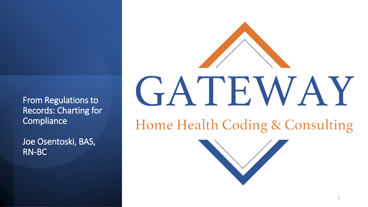From Regulations to Records: Charting for **Compliance** 

Joe Osentoski, BAS, RN -BC

# GATEWAY

Home Health Coding & Consulting

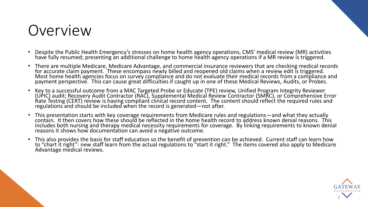# Overview

- Despite the Public Health Emergency's stresses on home health agency operations, CMS' medical review (MR) activities have fully resumed; presenting an additional challenge to home health agency operations if a MR review is triggered.
- There are multiple Medicare, Medicare Advantage, and commercial insurance reviewers that are checking medical records for accurate claim payment. These encompass newly billed and reopened old claims when a review edit is triggered. Most home health agencies focus on survey compliance and do not evaluate their medical records from a compliance and payment perspective. This can cause great difficulties if caught up in one of these Medical Reviews, Audits, or Probes.
- Key to a successful outcome from a MAC Targeted Probe or Educate (TPE) review, Unified Program Integrity Reviewer (UPIC) audit; Recovery Audit Contractor (RAC), Supplemental Medical Review Contractor (SMRC), or Comprehensive Error Rate Testing (CERT) review is having compliant clinical record content. The content should reflect the required rules and regulations and should be included when the record is generated—not after.
- This presentation starts with key coverage requirements from Medicare rules and regulations—and what they actually contain. It then covers how these should be reflected in the home health record to address known denial reasons. This includes both nursing and therapy medical necessity requirements for coverage. By linking requirements to known denial reasons it shows how documentation can avoid a negative outcome.
- This also provides the basis for staff education so the benefit of prevention can be achieved. Current staff can learn how to "chart it right": new staff learn from the actual regulations to "start it right." The items covered also apply to Medicare Advantage medical reviews.

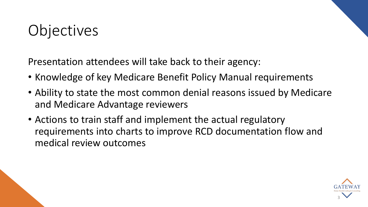# **Objectives**

Presentation attendees will take back to their agency:

- Knowledge of key Medicare Benefit Policy Manual requirements
- Ability to state the most common denial reasons issued by Medicare and Medicare Advantage reviewers
- Actions to train staff and implement the actual regulatory requirements into charts to improve RCD documentation flow and medical review outcomes

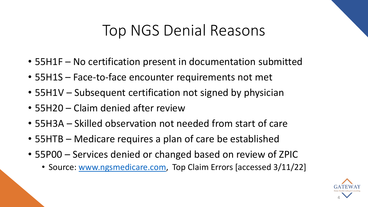# Top NGS Denial Reasons

- 55H1F No certification present in documentation submitted
- 55H1S Face-to-face encounter requirements not met
- 55H1V Subsequent certification not signed by physician
- 55H20 Claim denied after review
- 55H3A Skilled observation not needed from start of care
- 55HTB Medicare requires a plan of care be established
- 55P00 Services denied or changed based on review of ZPIC
	- Source: [www.ngsmedicare.com](http://www.ngsmedicare.com/), Top Claim Errors [accessed 3/11/22]

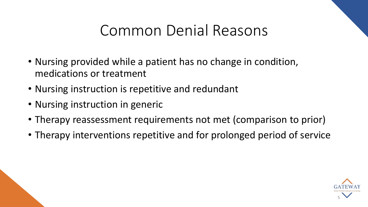# Common Denial Reasons

- Nursing provided while a patient has no change in condition, medications or treatment
- Nursing instruction is repetitive and redundant
- Nursing instruction in generic
- Therapy reassessment requirements not met (comparison to prior)
- Therapy interventions repetitive and for prolonged period of service

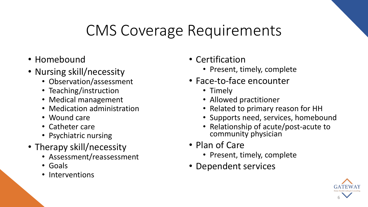# CMS Coverage Requirements

- Homebound
- Nursing skill/necessity
	- Observation/assessment
	- Teaching/instruction
	- Medical management
	- Medication administration
	- Wound care
	- Catheter care
	- Psychiatric nursing
- Therapy skill/necessity
	- Assessment/reassessment
	- Goals
	- Interventions
- Certification
	- Present, timely, complete
- Face-to-face encounter
	- Timely
	- Allowed practitioner
	- Related to primary reason for HH
	- Supports need, services, homebound
	- Relationship of acute/post-acute to community physician
- Plan of Care
	- Present, timely, complete
- Dependent services

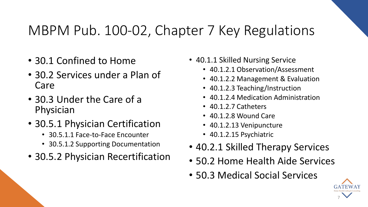# MBPM Pub. 100-02, Chapter 7 Key Regulations

- 30.1 Confined to Home
- 30.2 Services under a Plan of Care
- 30.3 Under the Care of a Physician
- 30.5.1 Physician Certification
	- 30.5.1.1 Face-to-Face Encounter
	- 30.5.1.2 Supporting Documentation
- 30.5.2 Physician Recertification
- 40.1.1 Skilled Nursing Service
	- 40.1.2.1 Observation/Assessment
	- 40.1.2.2 Management & Evaluation
	- 40.1.2.3 Teaching/Instruction
	- 40.1.2.4 Medication Administration
	- 40.1.2.7 Catheters
	- 40.1.2.8 Wound Care
	- 40.1.2.13 Venipuncture
	- 40.1.2.15 Psychiatric
- 40.2.1 Skilled Therapy Services
- 50.2 Home Health Aide Services
- 50.3 Medical Social Services

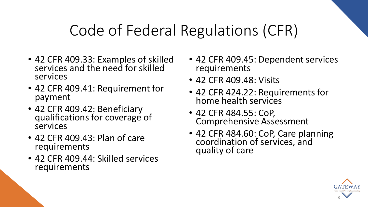# Code of Federal Regulations (CFR)

- 42 CFR 409.33: Examples of skilled services and the need for skilled services
- 42 CFR 409.41: Requirement for payment
- 42 CFR 409.42: Beneficiary qualifications for coverage of services
- 42 CFR 409.43: Plan of care requirements
- 42 CFR 409.44: Skilled services requirements
- 42 CFR 409.45: Dependent services requirements
- 42 CFR 409.48: Visits
- 42 CFR 424.22: Requirements for home health services
- 42 CFR 484.55: CoP, Comprehensive Assessment
- 42 CFR 484.60: CoP, Care planning coordination of services, and quality of care

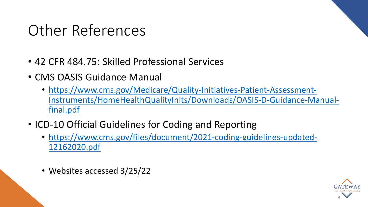# Other References

- 42 CFR 484.75: Skilled Professional Services
- CMS OASIS Guidance Manual
	- https://www.cms.gov/Medicare/Quality-Initiatives-Patient-Assessment-[Instruments/HomeHealthQualityInits/Downloads/OASIS-D-Guidance-Manual](https://www.cms.gov/Medicare/Quality-Initiatives-Patient-Assessment-Instruments/HomeHealthQualityInits/Downloads/OASIS-D-Guidance-Manual-final.pdf)final.pdf
- ICD-10 Official Guidelines for Coding and Reporting
	- [https://www.cms.gov/files/document/2021-coding-guidelines-updated-](https://www.cms.gov/files/document/2021-coding-guidelines-updated-12162020.pdf)12162020.pdf
	- Websites accessed 3/25/22

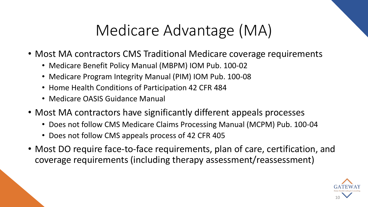# Medicare Advantage (MA)

- Most MA contractors CMS Traditional Medicare coverage requirements
	- Medicare Benefit Policy Manual (MBPM) IOM Pub. 100-02
	- Medicare Program Integrity Manual (PIM) IOM Pub. 100-08
	- Home Health Conditions of Participation 42 CFR 484
	- Medicare OASIS Guidance Manual
- Most MA contractors have significantly different appeals processes
	- Does not follow CMS Medicare Claims Processing Manual (MCPM) Pub. 100-04
	- Does not follow CMS appeals process of 42 CFR 405
- Most DO require face-to-face requirements, plan of care, certification, and coverage requirements (including therapy assessment/reassessment)

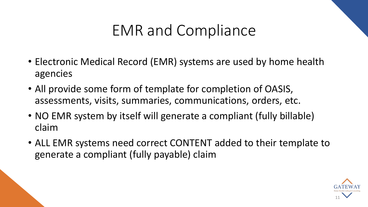# EMR and Compliance

- Electronic Medical Record (EMR) systems are used by home health agencies
- All provide some form of template for completion of OASIS, assessments, visits, summaries, communications, orders, etc.
- NO EMR system by itself will generate a compliant (fully billable) claim
- ALL EMR systems need correct CONTENT added to their template to generate a compliant (fully payable) claim

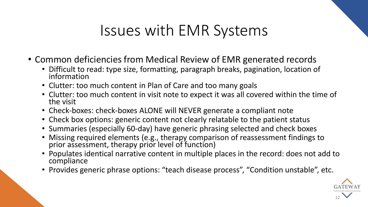# Issues with EMR Systems

- Common deficiencies from Medical Review of EMR generated records
	- Difficult to read: type size, formatting, paragraph breaks, pagination, location of information
	- Clutter: too much content in Plan of Care and too many goals
	- Clutter: too much content in visit note to expect it was all covered within the time of the visit
	- Check-boxes: check-boxes ALONE will NEVER generate a compliant note
	- Check box options: generic content not clearly relatable to the patient status
	- Summaries (especially 60-day) have generic phrasing selected and check boxes
	- Missing required elements (e.g., therapy comparison of reassessment findings to prior assessment, therapy prior level of function)
	- Populates identical narrative content in multiple places in the record: does not add to compliance
	- Provides generic phrase options: "teach disease process", "Condition unstable", etc.

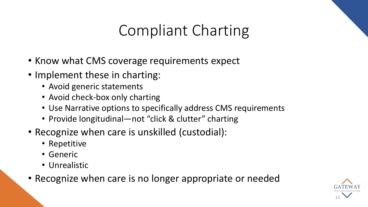# Compliant Charting

- Know what CMS coverage requirements expect
- Implement these in charting:
	- Avoid generic statements
	- Avoid check-box only charting
	- Use Narrative options to specifically address CMS requirements
	- Provide longitudinal—not "click & clutter" charting
- Recognize when care is unskilled (custodial):
	- Repetitive
	- Generic
	- Unrealistic
- Recognize when care is no longer appropriate or needed

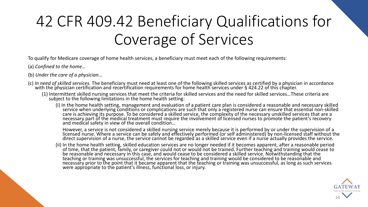# 42 CFR 409.42 Beneficiary Qualifications for Coverage of Services

To qualify for Medicare coverage of home health services, a beneficiary must meet each of the following requirements:

- (a) *Confined to the home…*
- (b) *Under the care of a physician...*
- (c) *In need of skilled services.* The beneficiary must need at least one of the following skilled services as certified by a physician in accordance with the physician certification and recertification requirements for home health services under § 424.22 of this chapter.
	- (1) Intermittent skilled nursing services that meet the criteria for skilled services and the need for skilled services…These criteria are subject to the following limitations in the home health setting:
		- (i) In the home health setting, management and evaluation of a patient care plan is considered a reasonable and necessary skilled service when underlying conditions or complications are such that only a registered nurse can ensure that essential non-skilled care is achieving its purpose. To be considered a skilled service, the complexity of the necessary unskilled services that are a necessary part of the medical treatment must require the involvement of licensed nurses to promote the patient's recovery and medical safety in view of the overall condition…
			- However, a service is not considered a skilled nursing service merely because it is performed by or under the supervision of a licensed nurse. Where a service can be safely and effectively performed (or self administered) by non-licensed staff without the direct supervision of a nurse, the service cannot be regarded as a skilled service even if a nurse actually provides the service.
		- (ii) In the home health setting, skilled education services are no longer needed if it becomes apparent, after a reasonable period of time, that the patient, family, or caregiver could not or would not be trained. Further teaching and training would cease to be reasonable and necessary in this case, and would cease to be considered a skilled service. Notwithstanding that the teaching or training was unsuccessful, the services for teaching and training would be considered to be reasonable and necessary prior to the point that it became apparent that the teaching or training was unsuccessful, as long as such services were appropriate to the patient's illness, functional loss, or injury.

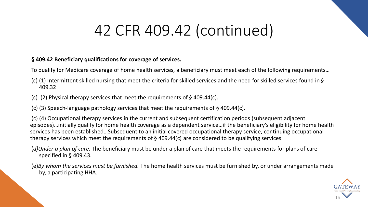# 42 CFR 409.42 (continued)

## **§ 409.42 Beneficiary qualifications for coverage of services.**

To qualify for Medicare coverage of home health services, a beneficiary must meet each of the following requirements…

- (c) (1) Intermittent skilled nursing that meet the criteria for skilled services and the need for skilled services found in § 409.32
- (c) (2) Physical therapy services that meet the requirements of § 409.44(c).
- (c) (3) Speech-language pathology services that meet the requirements of § 409.44(c).

(c) (4) Occupational therapy services in the current and subsequent certification periods (subsequent adjacent episodes)…initially qualify for home health coverage as a dependent service…if the beneficiary's eligibility for home health services has been established…Subsequent to an initial covered occupational therapy service, continuing occupational therapy services which meet the requirements of § 409.44(c) are considered to be qualifying services.

(*d)Under a plan of care*. The beneficiary must be under a plan of care that meets the requirements for plans of care specified in § 409.43.

(e)*By whom the services must be furnished.* The home health services must be furnished by, or under arrangements made by, a participating HHA.

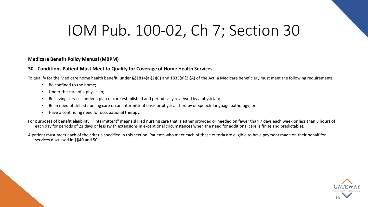# IOM Pub. 100-02, Ch 7; Section 30

#### **Medicare Benefit Policy Manual (MBPM)**

#### **30 - Conditions Patient Must Meet to Qualify for Coverage of Home Health Services**

To qualify for the Medicare home health benefit, under §§1814(a)(2)(C) and 1835(a)(2)(A) of the Act, a Medicare beneficiary must meet the following requirements:

- Be confined to the home;
- Under the care of a physician;
- Receiving services under a plan of care established and periodically reviewed by a physician;
- Be in need of skilled nursing care on an intermittent basis or physical therapy or speech-language pathology; or
- Have a continuing need for occupational therapy.

For purposes of benefit eligibility…"intermittent" means skilled nursing care that is either provided or needed on fewer than 7 days each week or less than 8 hours of each day for periods of 21 days or less (with extensions in exceptional circumstances when the need for additional care is finite and predictable).

A patient must meet each of the criteria specified in this section. Patients who meet each of these criteria are eligible to have payment made on their behalf for services discussed in §§40 and 50.

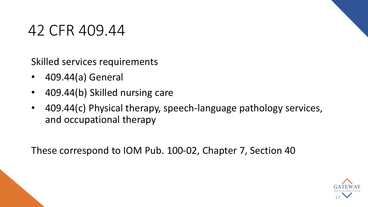# 42 CFR 409.44

Skilled services requirements

- 409.44(a) General
- 409.44(b) Skilled nursing care
- 409.44(c) Physical therapy, speech-language pathology services, and occupational therapy

These correspond to IOM Pub. 100-02, Chapter 7, Section 40

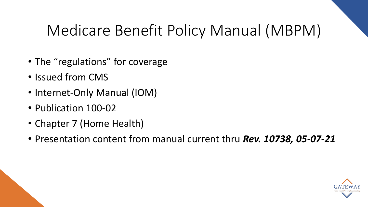# Medicare Benefit Policy Manual (MBPM)

- The "regulations" for coverage
- Issued from CMS
- Internet-Only Manual (IOM)
- Publication 100-02
- Chapter 7 (Home Health)
- Presentation content from manual current thru *Rev. 10738, 05-07-21*

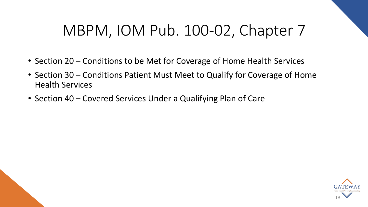# MBPM, IOM Pub. 100-02, Chapter 7

- Section 20 Conditions to be Met for Coverage of Home Health Services
- Section 30 Conditions Patient Must Meet to Qualify for Coverage of Home Health Services
- Section 40 Covered Services Under a Qualifying Plan of Care

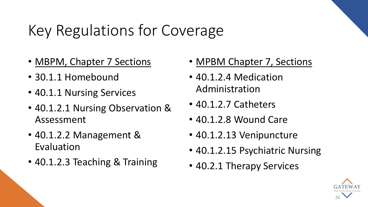# Key Regulations for Coverage

- MBPM, Chapter 7 Sections
- 30.1.1 Homebound
- 40.1.1 Nursing Services
- 40.1.2.1 Nursing Observation & Assessment
- 40.1.2.2 Management & Evaluation
- 40.1.2.3 Teaching & Training
- MPBM Chapter 7, Sections
- 40.1.2.4 Medication Administration
- 40.1.2.7 Catheters
- 40.1.2.8 Wound Care
- 40.1.2.13 Venipuncture
- 40.1.2.15 Psychiatric Nursing
- 40.2.1 Therapy Services

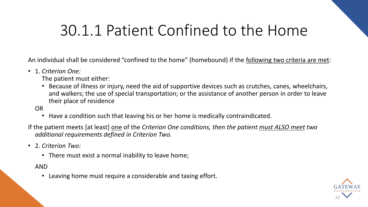# 30.1.1 Patient Confined to the Home

An individual shall be considered "confined to the home" (homebound) if the following two criteria are met:

• 1. *Criterion One:* 

The patient must either:

• Because of illness or injury, need the aid of supportive devices such as crutches, canes, wheelchairs, and walkers; the use of special transportation; or the assistance of another person in order to leave their place of residence

## OR

• Have a condition such that leaving his or her home is medically contraindicated.

If the patient meets [at least] one of the *Criterion One conditions, then the patient must ALSO meet two additional requirements defined in Criterion Two.* 

- 2. *Criterion Two:* 
	- There must exist a normal inability to leave home;

### AND

• Leaving home must require a considerable and taxing effort.

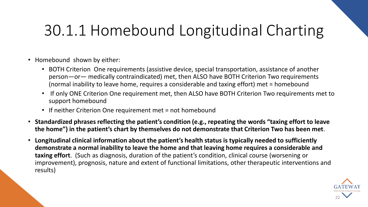# 30.1.1 Homebound Longitudinal Charting

- Homebound shown by either:
	- BOTH Criterion One requirements (assistive device, special transportation, assistance of another person—or— medically contraindicated) met, then ALSO have BOTH Criterion Two requirements (normal inability to leave home, requires a considerable and taxing effort) met = homebound
	- If only ONE Criterion One requirement met, then ALSO have BOTH Criterion Two requirements met to support homebound
	- If neither Criterion One requirement met = not homebound
- **Standardized phrases reflecting the patient's condition (e.g., repeating the words "taxing effort to leave the home") in the patient's chart by themselves do not demonstrate that Criterion Two has been met**.
- **Longitudinal clinical information about the patient's health status is typically needed to sufficiently demonstrate a normal inability to leave the home and that leaving home requires a considerable and taxing effort**. (Such as diagnosis, duration of the patient's condition, clinical course (worsening or improvement), prognosis, nature and extent of functional limitations, other therapeutic interventions and results)

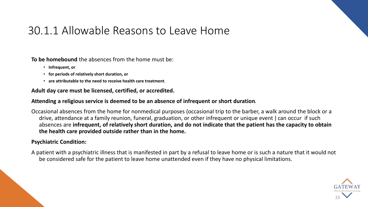## 30.1.1 Allowable Reasons to Leave Home

**To be homebound** the absences from the home must be:

- **Infrequent, or**
- **for periods of relatively short duration, or**
- **are attributable to the need to receive health care treatment**.

**Adult day care must be licensed, certified, or accredited.**

### **Attending a religious service is deemed to be an absence of infrequent or short duration**.

Occasional absences from the home for nonmedical purposes (occasional trip to the barber, a walk around the block or a drive, attendance at a family reunion, funeral, graduation, or other infrequent or unique event ) can occur if such absences are **infrequent, of relatively short duration, and do not indicate that the patient has the capacity to obtain the health care provided outside rather than in the home.** 

## **Psychiatric Condition:**

A patient with a psychiatric illness that is manifested in part by a refusal to leave home or is such a nature that it would not be considered safe for the patient to leave home unattended even if they have no physical limitations.

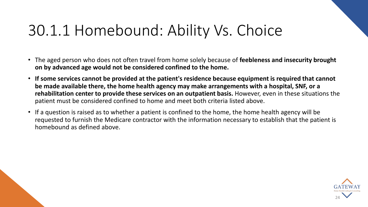# 30.1.1 Homebound: Ability Vs. Choice

- The aged person who does not often travel from home solely because of **feebleness and insecurity brought on by advanced age would not be considered confined to the home.**
- **If some services cannot be provided at the patient's residence because equipment is required that cannot be made available there, the home health agency may make arrangements with a hospital, SNF, or a rehabilitation center to provide these services on an outpatient basis.** However, even in these situations the patient must be considered confined to home and meet both criteria listed above.
- If a question is raised as to whether a patient is confined to the home, the home health agency will be requested to furnish the Medicare contractor with the information necessary to establish that the patient is homebound as defined above.

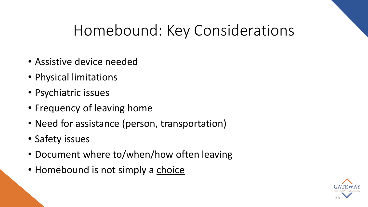# Homebound: Key Considerations

- Assistive device needed
- Physical limitations
- Psychiatric issues
- Frequency of leaving home
- Need for assistance (person, transportation)
- Safety issues
- Document where to/when/how often leaving
- Homebound is not simply a choice

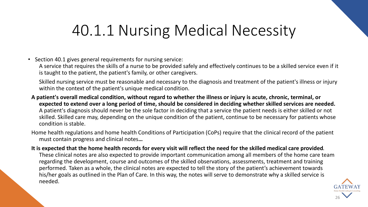# 40.1.1 Nursing Medical Necessity

• Section 40.1 gives general requirements for nursing service:

A service that requires the skills of a nurse to be provided safely and effectively continues to be a skilled service even if it is taught to the patient, the patient's family, or other caregivers.

Skilled nursing service must be reasonable and necessary to the diagnosis and treatment of the patient's illness or injury within the context of the patient's unique medical condition.

**A patient's overall medical condition, without regard to whether the illness or injury is acute, chronic, terminal, or expected to extend over a long period of time, should be considered in deciding whether skilled services are needed.**  A patient's diagnosis should never be the sole factor in deciding that a service the patient needs is either skilled or not skilled. Skilled care may, depending on the unique condition of the patient, continue to be necessary for patients whose condition is stable.

Home health regulations and home health Conditions of Participation (CoPs) require that the clinical record of the patient must contain progress and clinical notes**…**

**It is expected that the home health records for every visit will reflect the need for the skilled medical care provided**. These clinical notes are also expected to provide important communication among all members of the home care team regarding the development, course and outcomes of the skilled observations, assessments, treatment and training performed. Taken as a whole, the clinical notes are expected to tell the story of the patient's achievement towards his/her goals as outlined in the Plan of Care. In this way, the notes will serve to demonstrate why a skilled service is needed.

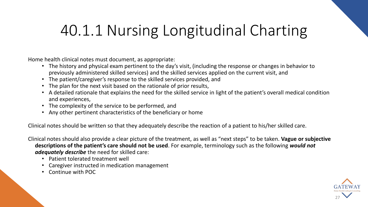# 40.1.1 Nursing Longitudinal Charting

Home health clinical notes must document, as appropriate:

- The history and physical exam pertinent to the day's visit, (including the response or changes in behavior to previously administered skilled services) and the skilled services applied on the current visit, and
- The patient/caregiver's response to the skilled services provided, and
- The plan for the next visit based on the rationale of prior results,
- A detailed rationale that explains the need for the skilled service in light of the patient's overall medical condition and experiences,
- The complexity of the service to be performed, and
- Any other pertinent characteristics of the beneficiary or home

Clinical notes should be written so that they adequately describe the reaction of a patient to his/her skilled care.

Clinical notes should also provide a clear picture of the treatment, as well as "next steps" to be taken. **Vague or subjective descriptions of the patient's care should not be used**. For example, terminology such as the following *would not adequately describe* the need for skilled care:

- Patient tolerated treatment well
- Caregiver instructed in medication management
- Continue with POC

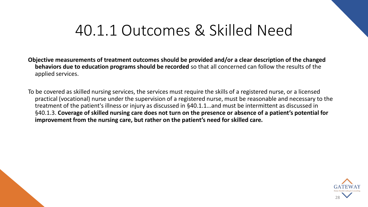# 40.1.1 Outcomes & Skilled Need

**Objective measurements of treatment outcomes should be provided and/or a clear description of the changed behaviors due to education programs should be recorded** so that all concerned can follow the results of the applied services.

To be covered as skilled nursing services, the services must require the skills of a registered nurse, or a licensed practical (vocational) nurse under the supervision of a registered nurse, must be reasonable and necessary to the treatment of the patient's illness or injury as discussed in §40.1.1…and must be intermittent as discussed in §40.1.3. **Coverage of skilled nursing care does not turn on the presence or absence of a patient's potential for improvement from the nursing care, but rather on the patient's need for skilled care***.* 

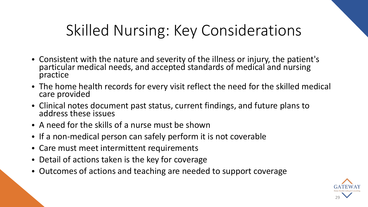# Skilled Nursing: Key Considerations

- Consistent with the nature and severity of the illness or injury, the patient's particular medical needs, and accepted standards of medical and nursing practice
- The home health records for every visit reflect the need for the skilled medical care provided
- Clinical notes document past status, current findings, and future plans to address these issues
- A need for the skills of a nurse must be shown
- If a non-medical person can safely perform it is not coverable
- Care must meet intermittent requirements
- Detail of actions taken is the key for coverage
- Outcomes of actions and teaching are needed to support coverage

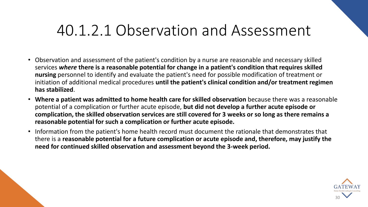# 40.1.2.1 Observation and Assessment

- Observation and assessment of the patient's condition by a nurse are reasonable and necessary skilled services *where* **there is a reasonable potential for change in a patient's condition that requires skilled nursing** personnel to identify and evaluate the patient's need for possible modification of treatment or initiation of additional medical procedures **until the patient's clinical condition and/or treatment regimen has stabilized**.
- **Where a patient was admitted to home health care for skilled observation** because there was a reasonable potential of a complication or further acute episode, **but did not develop a further acute episode or complication, the skilled observation services are still covered for 3 weeks or so long as there remains a reasonable potential for such a complication or further acute episode.**
- Information from the patient's home health record must document the rationale that demonstrates that there is a **reasonable potential for a future complication or acute episode and, therefore, may justify the need for continued skilled observation and assessment beyond the 3-week period.**

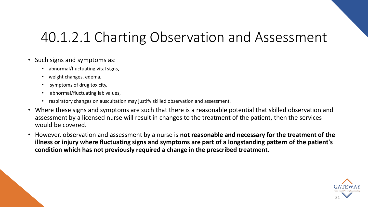# 40.1.2.1 Charting Observation and Assessment

- Such signs and symptoms as:
	- abnormal/fluctuating vital signs,
	- weight changes, edema,
	- symptoms of drug toxicity,
	- abnormal/fluctuating lab values,
	- respiratory changes on auscultation may justify skilled observation and assessment.
- Where these signs and symptoms are such that there is a reasonable potential that skilled observation and assessment by a licensed nurse will result in changes to the treatment of the patient, then the services would be covered.
- However, observation and assessment by a nurse is **not reasonable and necessary for the treatment of the illness or injury where fluctuating signs and symptoms are part of a longstanding pattern of the patient's condition which has not previously required a change in the prescribed treatment.**

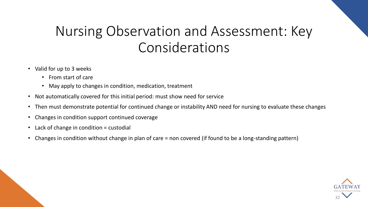# Nursing Observation and Assessment: Key Considerations

- Valid for up to 3 weeks
	- From start of care
	- May apply to changes in condition, medication, treatment
- Not automatically covered for this initial period: must show need for service
- Then must demonstrate potential for continued change or instability AND need for nursing to evaluate these changes
- Changes in condition support continued coverage
- Lack of change in condition = custodial
- Changes in condition without change in plan of care = non covered (if found to be a long-standing pattern)

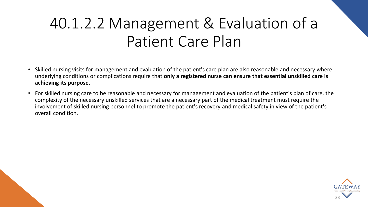# 40.1.2.2 Management & Evaluation of a Patient Care Plan

- Skilled nursing visits for management and evaluation of the patient's care plan are also reasonable and necessary where underlying conditions or complications require that **only a registered nurse can ensure that essential unskilled care is achieving its purpose.**
- For skilled nursing care to be reasonable and necessary for management and evaluation of the patient's plan of care, the complexity of the necessary unskilled services that are a necessary part of the medical treatment must require the involvement of skilled nursing personnel to promote the patient's recovery and medical safety in view of the patient's overall condition.

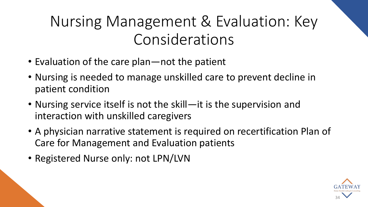# Nursing Management & Evaluation: Key Considerations

- Evaluation of the care plan—not the patient
- Nursing is needed to manage unskilled care to prevent decline in patient condition
- Nursing service itself is not the skill—it is the supervision and interaction with unskilled caregivers
- A physician narrative statement is required on recertification Plan of Care for Management and Evaluation patients
- Registered Nurse only: not LPN/LVN

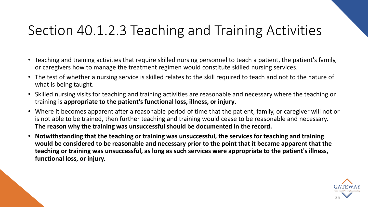# Section 40.1.2.3 Teaching and Training Activities

- Teaching and training activities that require skilled nursing personnel to teach a patient, the patient's family, or caregivers how to manage the treatment regimen would constitute skilled nursing services.
- The test of whether a nursing service is skilled relates to the skill required to teach and not to the nature of what is being taught.
- Skilled nursing visits for teaching and training activities are reasonable and necessary where the teaching or training is **appropriate to the patient's functional loss, illness, or injury**.
- Where it becomes apparent after a reasonable period of time that the patient, family, or caregiver will not or is not able to be trained, then further teaching and training would cease to be reasonable and necessary. **The reason why the training was unsuccessful should be documented in the record.**
- **Notwithstanding that the teaching or training was unsuccessful, the services for teaching and training would be considered to be reasonable and necessary prior to the point that it became apparent that the teaching or training was unsuccessful, as long as such services were appropriate to the patient's illness, functional loss, or injury.**

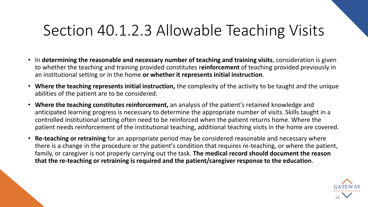# Section 40.1.2.3 Allowable Teaching Visits

- In **determining the reasonable and necessary number of teaching and training visits**, consideration is given to whether the teaching and training provided constitutes r**einforcement** of teaching provided previously in an institutional setting or in the home **or whether it represents initial instruction**.
- **Where the teaching represents initial instruction,** the complexity of the activity to be taught and the unique abilities of the patient are to be considered.
- **Where the teaching constitutes reinforcement,** an analysis of the patient's retained knowledge and anticipated learning progress is necessary to determine the appropriate number of visits. Skills taught in a controlled institutional setting often need to be reinforced when the patient returns home. Where the patient needs reinforcement of the institutional teaching, additional teaching visits in the home are covered.
- **Re-teaching or retraining** for an appropriate period may be considered reasonable and necessary where there is a change in the procedure or the patient's condition that requires re-teaching, or where the patient, family, or caregiver is not properly carrying out the task. **The medical record should document the reason that the re-teaching or retraining is required and the patient/caregiver response to the education**.

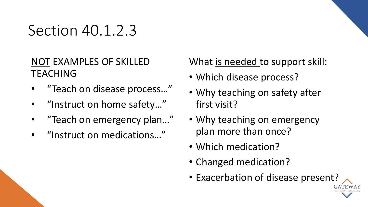# Section 40.1.2.3

## NOT EXAMPLES OF SKILLED **TEACHING**

- "Teach on disease process…"
- "Instruct on home safety…"
- "Teach on emergency plan…"
- "Instruct on medications…"

## What is needed to support skill:

- Which disease process?
- Why teaching on safety after first visit?
- Why teaching on emergency plan more than once?
- Which medication?
- Changed medication?
- Exacerbation of disease present?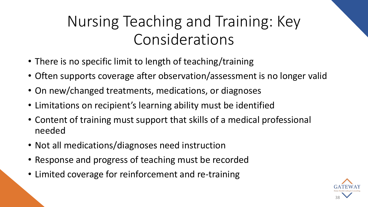# Nursing Teaching and Training: Key Considerations

- There is no specific limit to length of teaching/training
- Often supports coverage after observation/assessment is no longer valid
- On new/changed treatments, medications, or diagnoses
- Limitations on recipient's learning ability must be identified
- Content of training must support that skills of a medical professional needed
- Not all medications/diagnoses need instruction
- Response and progress of teaching must be recorded
- Limited coverage for reinforcement and re-training

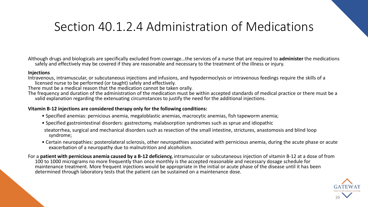## Section 40.1.2.4 Administration of Medications

Although drugs and biologicals are specifically excluded from coverage…the services of a nurse that are required to **administer** the medications safely and effectively may be covered if they are reasonable and necessary to the treatment of the illness or injury.

#### **Injections**

Intravenous, intramuscular, or subcutaneous injections and infusions, and hypodermoclysis or intravenous feedings require the skills of a licensed nurse to be performed (or taught) safely and effectively.

There must be a medical reason that the medication cannot be taken orally.

The frequency and duration of the administration of the medication must be within accepted standards of medical practice or there must be a valid explanation regarding the extenuating circumstances to justify the need for the additional injections.

#### **Vitamin B-12 injections are considered therapy only for the following conditions:**

- Specified anemias: pernicious anemia, megaloblastic anemias, macrocytic anemias, fish tapeworm anemia;
- Specified gastrointestinal disorders: gastrectomy, malabsorption syndromes such as sprue and idiopathic

steatorrhea, surgical and mechanical disorders such as resection of the small intestine, strictures, anastomosis and blind loop syndrome;

- Certain neuropathies: posterolateral sclerosis, other neuropathies associated with pernicious anemia, during the acute phase or acute exacerbation of a neuropathy due to malnutrition and alcoholism.
- For a **patient with pernicious anemia caused by a B-12 deficiency,** intramuscular or subcutaneous injection of vitamin B-12 at a dose of from 100 to 1000 micrograms no more frequently than once monthly is the accepted reasonable and necessary dosage schedule for maintenance treatment. More frequent injections would be appropriate in the initial or acute phase of the disease until it has been determined through laboratory tests that the patient can be sustained on a maintenance dose.

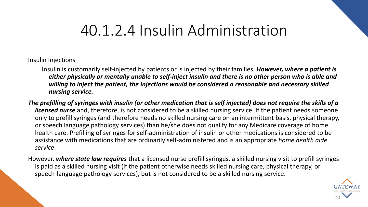# 40.1.2.4 Insulin Administration

Insulin Injections

Insulin is customarily self-injected by patients or is injected by their families*. However, where a patient is either physically or mentally unable to self-inject insulin and there is no other person who is able and willing to inject the patient, the injections would be considered a reasonable and necessary skilled nursing service.* 

*The prefilling of syringes with insulin (or other medication that is self injected) does not require the skills of a licensed nurse* and, therefore, is not considered to be a skilled nursing service. If the patient needs someone only to prefill syringes (and therefore needs no skilled nursing care on an intermittent basis, physical therapy, or speech language pathology services) than he/she does not qualify for any Medicare coverage of home health care. Prefilling of syringes for self-administration of insulin or other medications is considered to be assistance with medications that are ordinarily self-administered and is an appropriate *home health aide service*.

However, *where state law requires* that a licensed nurse prefill syringes, a skilled nursing visit to prefill syringes is paid as a skilled nursing visit (if the patient otherwise needs skilled nursing care, physical therapy, or speech-language pathology services), but is not considered to be a skilled nursing service.

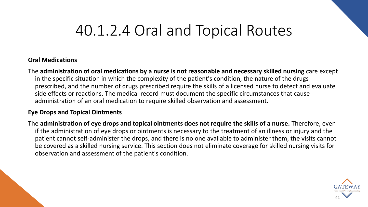# 40.1.2.4 Oral and Topical Routes

## **Oral Medications**

The **administration of oral medications by a nurse is not reasonable and necessary skilled nursing** care except in the specific situation in which the complexity of the patient's condition, the nature of the drugs prescribed, and the number of drugs prescribed require the skills of a licensed nurse to detect and evaluate side effects or reactions. The medical record must document the specific circumstances that cause administration of an oral medication to require skilled observation and assessment.

## **Eye Drops and Topical Ointments**

The **administration of eye drops and topical ointments does not require the skills of a nurse.** Therefore, even if the administration of eye drops or ointments is necessary to the treatment of an illness or injury and the patient cannot self-administer the drops, and there is no one available to administer them, the visits cannot be covered as a skilled nursing service. This section does not eliminate coverage for skilled nursing visits for observation and assessment of the patient's condition.

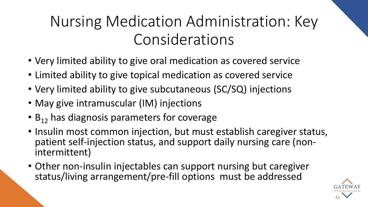# Nursing Medication Administration: Key Considerations

- Very limited ability to give oral medication as covered service
- Limited ability to give topical medication as covered service
- Very limited ability to give subcutaneous (SC/SQ) injections
- May give intramuscular (IM) injections
- $\cdot$  B<sub>12</sub> has diagnosis parameters for coverage
- Insulin most common injection, but must establish caregiver status, patient self-injection status, and support daily nursing care (nonintermittent)
- Other non-insulin injectables can support nursing but caregiver status/living arrangement/pre-fill options must be addressed

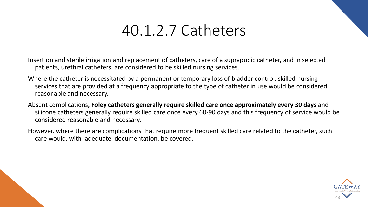# 40.1.2.7 Catheters

Insertion and sterile irrigation and replacement of catheters, care of a suprapubic catheter, and in selected patients, urethral catheters, are considered to be skilled nursing services.

- Where the catheter is necessitated by a permanent or temporary loss of bladder control, skilled nursing services that are provided at a frequency appropriate to the type of catheter in use would be considered reasonable and necessary.
- Absent complications**, Foley catheters generally require skilled care once approximately every 30 days** and silicone catheters generally require skilled care once every 60-90 days and this frequency of service would be considered reasonable and necessary.
- However, where there are complications that require more frequent skilled care related to the catheter, such care would, with adequate documentation, be covered.

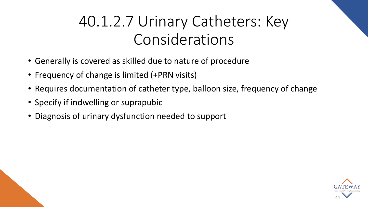# 40.1.2.7 Urinary Catheters: Key Considerations

- Generally is covered as skilled due to nature of procedure
- Frequency of change is limited (+PRN visits)
- Requires documentation of catheter type, balloon size, frequency of change
- Specify if indwelling or suprapubic
- Diagnosis of urinary dysfunction needed to support

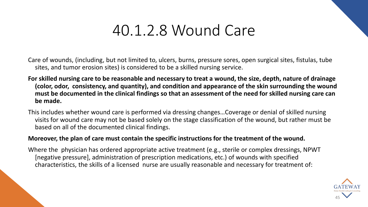# 40.1.2.8 Wound Care

Care of wounds, (including, but not limited to, ulcers, burns, pressure sores, open surgical sites, fistulas, tube sites, and tumor erosion sites) is considered to be a skilled nursing service.

- **For skilled nursing care to be reasonable and necessary to treat a wound, the size, depth, nature of drainage (color, odor, consistency, and quantity), and condition and appearance of the skin surrounding the wound must be documented in the clinical findings so that an assessment of the need for skilled nursing care can be made.**
- This includes whether wound care is performed via dressing changes…Coverage or denial of skilled nursing visits for wound care may not be based solely on the stage classification of the wound, but rather must be based on all of the documented clinical findings.

## **Moreover, the plan of care must contain the specific instructions for the treatment of the wound.**

Where the physician has ordered appropriate active treatment (e.g., sterile or complex dressings, NPWT [negative pressure], administration of prescription medications, etc.) of wounds with specified characteristics, the skills of a licensed nurse are usually reasonable and necessary for treatment of:

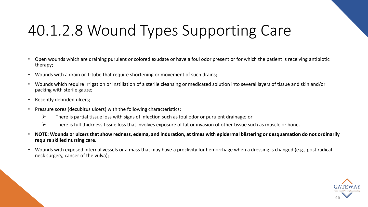# 40.1.2.8 Wound Types Supporting Care

- Open wounds which are draining purulent or colored exudate or have a foul odor present or for which the patient is receiving antibiotic therapy;
- Wounds with a drain or T-tube that require shortening or movement of such drains;
- Wounds which require irrigation or instillation of a sterile cleansing or medicated solution into several layers of tissue and skin and/or packing with sterile gauze;
- Recently debrided ulcers;
- Pressure sores (decubitus ulcers) with the following characteristics:
	- $\triangleright$  There is partial tissue loss with signs of infection such as foul odor or purulent drainage; or
	- $\triangleright$  There is full thickness tissue loss that involves exposure of fat or invasion of other tissue such as muscle or bone.
- **NOTE: Wounds or ulcers that show redness, edema, and induration, at times with epidermal blistering or desquamation do not ordinarily require skilled nursing care.**
- Wounds with exposed internal vessels or a mass that may have a proclivity for hemorrhage when a dressing is changed (e.g., post radical neck surgery, cancer of the vulva);

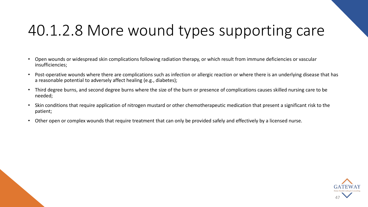# 40.1.2.8 More wound types supporting care

- Open wounds or widespread skin complications following radiation therapy, or which result from immune deficiencies or vascular insufficiencies;
- Post-operative wounds where there are complications such as infection or allergic reaction or where there is an underlying disease that has a reasonable potential to adversely affect healing (e.g., diabetes);
- Third degree burns, and second degree burns where the size of the burn or presence of complications causes skilled nursing care to be needed;
- Skin conditions that require application of nitrogen mustard or other chemotherapeutic medication that present a significant risk to the patient;
- Other open or complex wounds that require treatment that can only be provided safely and effectively by a licensed nurse.

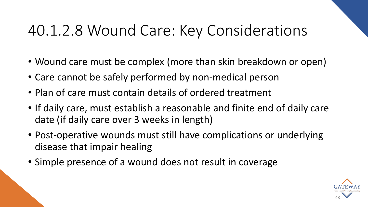# 40.1.2.8 Wound Care: Key Considerations

- Wound care must be complex (more than skin breakdown or open)
- Care cannot be safely performed by non-medical person
- Plan of care must contain details of ordered treatment
- If daily care, must establish a reasonable and finite end of daily care date (if daily care over 3 weeks in length)
- Post-operative wounds must still have complications or underlying disease that impair healing
- Simple presence of a wound does not result in coverage

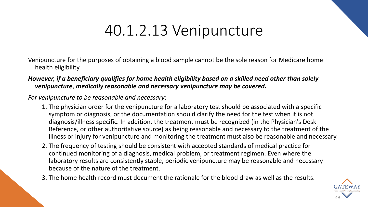# 40.1.2.13 Venipuncture

Venipuncture for the purposes of obtaining a blood sample cannot be the sole reason for Medicare home health eligibility.

## *However, if a beneficiary qualifies for home health eligibility based on a skilled need other than solely venipuncture*, *medically reasonable and necessary venipuncture may be covered.*

*For venipuncture to be reasonable and necessary*:

- 1. The physician order for the venipuncture for a laboratory test should be associated with a specific symptom or diagnosis, or the documentation should clarify the need for the test when it is not diagnosis/illness specific. In addition, the treatment must be recognized (in the Physician's Desk Reference, or other authoritative source) as being reasonable and necessary to the treatment of the illness or injury for venipuncture and monitoring the treatment must also be reasonable and necessary.
- 2. The frequency of testing should be consistent with accepted standards of medical practice for continued monitoring of a diagnosis, medical problem, or treatment regimen. Even where the laboratory results are consistently stable, periodic venipuncture may be reasonable and necessary because of the nature of the treatment.
- 3. The home health record must document the rationale for the blood draw as well as the results.

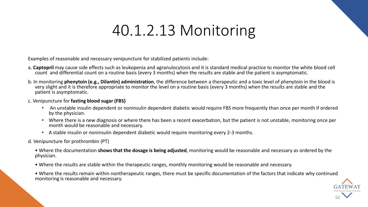# 40.1.2.13 Monitoring

Examples of reasonable and necessary venipuncture for stabilized patients include:

- a. **Captopril** may cause side effects such as leukopenia and agranulocytosis and it is standard medical practice to monitor the white blood cell count and differential count on a routine basis (every 3 months) when the results are stable and the patient is asymptomatic.
- b. In monitoring **phenytoin (e.g., Dilantin) administration**, the difference between a therapeutic and a toxic level of phenytoin in the blood is very slight and it is therefore appropriate to monitor the level on a routine basis (every 3 months) when the results are stable and the patient is asymptomatic.
- c. Venipuncture for **fasting blood sugar (FBS)** 
	- An unstable insulin dependent or noninsulin dependent diabetic would require FBS more frequently than once per month if ordered by the physician.
	- Where there is a new diagnosis or where there has been a recent exacerbation, but the patient is not unstable, monitoring once per month would be reasonable and necessary.
	- A stable insulin or noninsulin dependent diabetic would require monitoring every 2-3 months.
- d. Venipuncture for prothrombin (PT)
	- Where the documentation **shows that the dosage is being adjusted**, monitoring would be reasonable and necessary as ordered by the physician.
	- Where the results are stable within the therapeutic ranges, monthly monitoring would be reasonable and necessary.
	- Where the results remain within nontherapeutic ranges, there must be specific documentation of the factors that indicate why continued monitoring is reasonable and necessary.

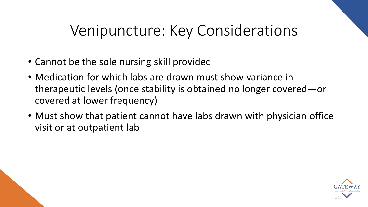# Venipuncture: Key Considerations

- Cannot be the sole nursing skill provided
- Medication for which labs are drawn must show variance in therapeutic levels (once stability is obtained no longer covered—or covered at lower frequency)
- Must show that patient cannot have labs drawn with physician office visit or at outpatient lab

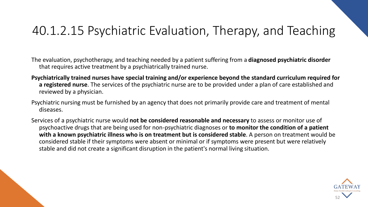## 40.1.2.15 Psychiatric Evaluation, Therapy, and Teaching

The evaluation, psychotherapy, and teaching needed by a patient suffering from a **diagnosed psychiatric disorder**  that requires active treatment by a psychiatrically trained nurse.

- **Psychiatrically trained nurses have special training and/or experience beyond the standard curriculum required for a registered nurse**. The services of the psychiatric nurse are to be provided under a plan of care established and reviewed by a physician.
- Psychiatric nursing must be furnished by an agency that does not primarily provide care and treatment of mental diseases.
- Services of a psychiatric nurse would **not be considered reasonable and necessary** to assess or monitor use of psychoactive drugs that are being used for non-psychiatric diagnoses or **to monitor the condition of a patient with a known psychiatric illness who is on treatment but is considered stable**. A person on treatment would be considered stable if their symptoms were absent or minimal or if symptoms were present but were relatively stable and did not create a significant disruption in the patient's normal living situation.

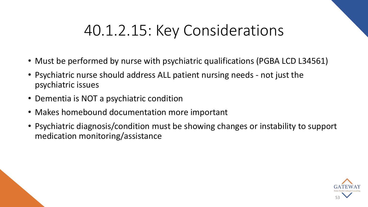# 40.1.2.15: Key Considerations

- Must be performed by nurse with psychiatric qualifications (PGBA LCD L34561)
- Psychiatric nurse should address ALL patient nursing needs not just the psychiatric issues
- Dementia is NOT a psychiatric condition
- Makes homebound documentation more important
- Psychiatric diagnosis/condition must be showing changes or instability to support medication monitoring/assistance

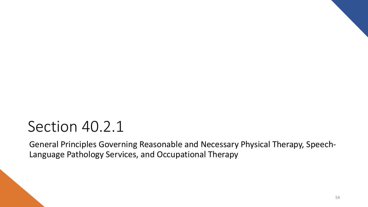# Section 40.2.1

General Principles Governing Reasonable and Necessary Physical Therapy, Speech-Language Pathology Services, and Occupational Therapy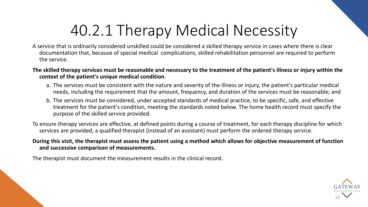# 40.2.1 Therapy Medical Necessity

- A service that is ordinarily considered unskilled could be considered a skilled therapy service in cases where there is clear documentation that, because of special medical complications, skilled rehabilitation personnel are required to perform the service.
- **The skilled therapy services must be reasonable and necessary to the treatment of the patient's illness or injury within the context of the patient's unique medical condition**.
	- a. The services must be consistent with the nature and severity of the illness or injury, the patient's particular medical needs, including the requirement that the amount, frequency, and duration of the services must be reasonable; and
	- b. The services must be considered, under accepted standards of medical practice, to be specific, safe, and effective treatment for the patient's condition, meeting the standards noted below. The home health record must specify the purpose of the skilled service provided.
- To ensure therapy services are effective, at defined points during a course of treatment, for each therapy discipline for which services are provided, a qualified therapist (instead of an assistant) must perform the ordered therapy service.

## **During this visit, the therapist must assess the patient using a method which allows for objective measurement of function and successive comparison of measurements.**

The therapist must document the measurement results in the clinical record.

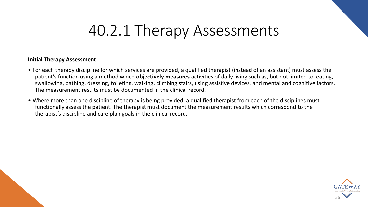# 40.2.1 Therapy Assessments

#### **Initial Therapy Assessment**

- For each therapy discipline for which services are provided, a qualified therapist (instead of an assistant) must assess the patient's function using a method which **objectively measures** activities of daily living such as, but not limited to, eating, swallowing, bathing, dressing, toileting, walking, climbing stairs, using assistive devices, and mental and cognitive factors. The measurement results must be documented in the clinical record.
- Where more than one discipline of therapy is being provided, a qualified therapist from each of the disciplines must functionally assess the patient. The therapist must document the measurement results which correspond to the therapist's discipline and care plan goals in the clinical record.

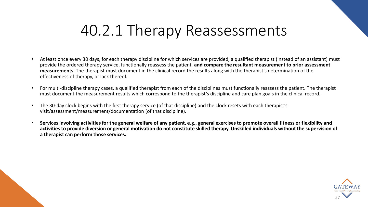# 40.2.1 Therapy Reassessments

- At least once every 30 days, for each therapy discipline for which services are provided, a qualified therapist (instead of an assistant) must provide the ordered therapy service, functionally reassess the patient, **and compare the resultant measurement to prior assessment measurements.** The therapist must document in the clinical record the results along with the therapist's determination of the effectiveness of therapy, or lack thereof.
- For multi-discipline therapy cases, a qualified therapist from each of the disciplines must functionally reassess the patient. The therapist must document the measurement results which correspond to the therapist's discipline and care plan goals in the clinical record.
- The 30-day clock begins with the first therapy service (of that discipline) and the clock resets with each therapist's visit/assessment/measurement/documentation (of that discipline).
- **Services involving activities for the general welfare of any patient, e.g., general exercises to promote overall fitness or flexibility and activities to provide diversion or general motivation do not constitute skilled therapy. Unskilled individuals without the supervision of a therapist can perform those services.**

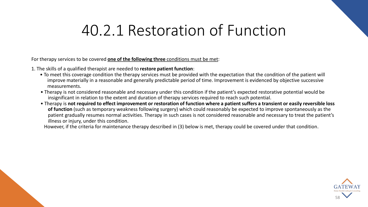# 40.2.1 Restoration of Function

For therapy services to be covered **one of the following three** conditions must be met:

1. The skills of a qualified therapist are needed to **restore patient function**:

- To meet this coverage condition the therapy services must be provided with the expectation that the condition of the patient will improve materially in a reasonable and generally predictable period of time. Improvement is evidenced by objective successive measurements.
- Therapy is not considered reasonable and necessary under this condition if the patient's expected restorative potential would be insignificant in relation to the extent and duration of therapy services required to reach such potential.
- Therapy is **not required to effect improvement or restoration of function where a patient suffers a transient or easily reversible loss of function** (such as temporary weakness following surgery) which could reasonably be expected to improve spontaneously as the patient gradually resumes normal activities. Therapy in such cases is not considered reasonable and necessary to treat the patient's illness or injury, under this condition.

However, if the criteria for maintenance therapy described in (3) below is met, therapy could be covered under that condition.

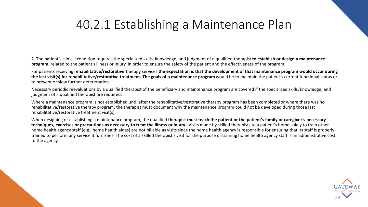## 40.2.1 Establishing a Maintenance Plan

2. The patient's clinical condition requires the specialized skills, knowledge, and judgment of a qualified therapist **to establish or design a maintenance program**, related to the patient's illness or injury, in order to ensure the safety of the patient and the effectiveness of the program.

For patients receiving **rehabilitative/restorative** therapy services **the expectation is that the development of that maintenance program would occur during the last visit(s) for rehabilitative/restorative treatment. The goals of a maintenance program** would be to maintain the patient's current functional status or to prevent or slow further deterioration.

Necessary periodic reevaluations by a qualified therapist of the beneficiary and maintenance program are covered if the specialized skills, knowledge, and judgment of a qualified therapist are required.

Where a maintenance program is not established until after the rehabilitative/restorative therapy program has been completed or where there was no rehabilitative/restorative therapy program, the therapist must document why the maintenance program could not be developed during those last rehabilitative/restorative treatment visit(s).

When designing or establishing a maintenance program, the qualified **therapist must teach the patient or the patient's family or caregiver's necessary techniques, exercises or precautions as necessary to treat the illness or injury**. Visits made by skilled therapists to a patient's home solely to train other home health agency staff (e.g., home health aides) are not billable as visits since the home health agency is responsible for ensuring that its staff is properly trained to perform any service it furnishes. The cost of a skilled therapist's visit for the purpose of training home health agency staff is an administrative cost to the agency.

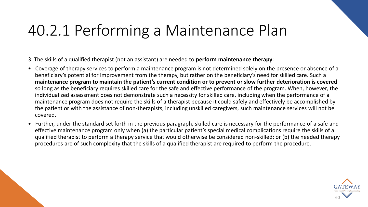# 40.2.1 Performing a Maintenance Plan

- 3. The skills of a qualified therapist (not an assistant) are needed to **perform maintenance therapy**:
- Coverage of therapy services to perform a maintenance program is not determined solely on the presence or absence of a beneficiary's potential for improvement from the therapy, but rather on the beneficiary's need for skilled care. Such a **maintenance program to maintain the patient's current condition or to prevent or slow further deterioration is covered**  so long as the beneficiary requires skilled care for the safe and effective performance of the program. When, however, the individualized assessment does not demonstrate such a necessity for skilled care, including when the performance of a maintenance program does not require the skills of a therapist because it could safely and effectively be accomplished by the patient or with the assistance of non-therapists, including unskilled caregivers, such maintenance services will not be covered.
- Further, under the standard set forth in the previous paragraph, skilled care is necessary for the performance of a safe and effective maintenance program only when (a) the particular patient's special medical complications require the skills of a qualified therapist to perform a therapy service that would otherwise be considered non-skilled; or (b) the needed therapy procedures are of such complexity that the skills of a qualified therapist are required to perform the procedure.

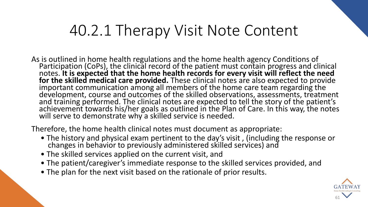# 40.2.1 Therapy Visit Note Content

As is outlined in home health regulations and the home health agency Conditions of Participation (CoPs), the clinical record of the patient must contain progress and clinical notes. **It is expected that the home health records for every visit will reflect the need for the skilled medical care provided.** These clinical notes are also expected to provide important communication among all members of the home care team regarding the development, course and outcomes of the skilled observations, assessments, treatment and training performed. The clinical notes are expected to tell the story of the patient's achievement towards his/her goals as outlined in the Plan of Care. In this way, the notes will serve to demonstrate why a skilled service is needed.

Therefore, the home health clinical notes must document as appropriate:

- The history and physical exam pertinent to the day's visit , (including the response or changes in behavior to previously administered skilled services) and
- The skilled services applied on the current visit, and
- The patient/caregiver's immediate response to the skilled services provided, and
- The plan for the next visit based on the rationale of prior results.

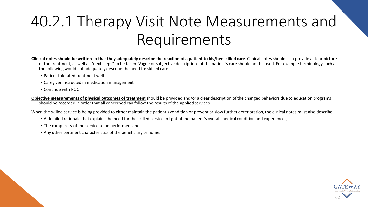# 40.2.1 Therapy Visit Note Measurements and Requirements

**Clinical notes should be written so that they adequately describe the reaction of a patient to his/her skilled care**. Clinical notes should also provide a clear picture of the treatment, as well as "next steps" to be taken. Vague or subjective descriptions of the patient's care should not be used. For example terminology such as the following would not adequately describe the need for skilled care:

- Patient tolerated treatment well
- Caregiver instructed in medication management
- Continue with POC

**Objective measurements of physical outcomes of treatment** should be provided and/or a clear description of the changed behaviors due to education programs should be recorded in order that all concerned can follow the results of the applied services.

When the skilled service is being provided to either maintain the patient's condition or prevent or slow further deterioration, the clinical notes must also describe:

- A detailed rationale that explains the need for the skilled service in light of the patient's overall medical condition and experiences,
- The complexity of the service to be performed, and
- Any other pertinent characteristics of the beneficiary or home.

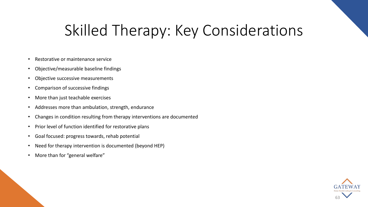# Skilled Therapy: Key Considerations

- Restorative or maintenance service
- Objective/measurable baseline findings
- Objective successive measurements
- Comparison of successive findings
- More than just teachable exercises
- Addresses more than ambulation, strength, endurance
- Changes in condition resulting from therapy interventions are documented
- Prior level of function identified for restorative plans
- Goal focused: progress towards, rehab potential
- Need for therapy intervention is documented (beyond HEP)
- More than for "general welfare"

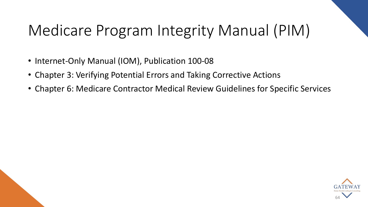# Medicare Program Integrity Manual (PIM)

- Internet-Only Manual (IOM), Publication 100-08
- Chapter 3: Verifying Potential Errors and Taking Corrective Actions
- Chapter 6: Medicare Contractor Medical Review Guidelines for Specific Services

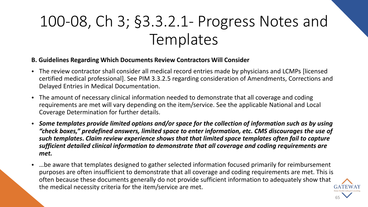# 100-08, Ch 3; §3.3.2.1- Progress Notes and Templates

## **B. Guidelines Regarding Which Documents Review Contractors Will Consider**

- The review contractor shall consider all medical record entries made by physicians and LCMPs [licensed certified medical professional]. See PIM 3.3.2.5 regarding consideration of Amendments, Corrections and Delayed Entries in Medical Documentation.
- The amount of necessary clinical information needed to demonstrate that all coverage and coding requirements are met will vary depending on the item/service. See the applicable National and Local Coverage Determination for further details.
- *Some templates provide limited options and/or space for the collection of information such as by using "check boxes," predefined answers, limited space to enter information, etc. CMS discourages the use of such templates***.** *Claim review experience shows that that limited space templates often fail to capture sufficient detailed clinical information to demonstrate that all coverage and coding requirements are met.*
- …be aware that templates designed to gather selected information focused primarily for reimbursement purposes are often insufficient to demonstrate that all coverage and coding requirements are met. This is often because these documents generally do not provide sufficient information to adequately show that the medical necessity criteria for the item/service are met.

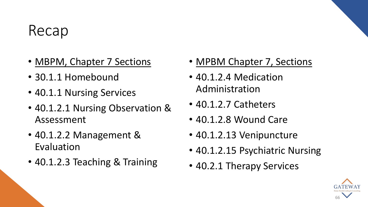# Recap

- MBPM, Chapter 7 Sections
- 30.1.1 Homebound
- 40.1.1 Nursing Services
- 40.1.2.1 Nursing Observation & Assessment
- 40.1.2.2 Management & Evaluation
- 40.1.2.3 Teaching & Training
- MPBM Chapter 7, Sections
- 40.1.2.4 Medication Administration
- 40.1.2.7 Catheters
- 40.1.2.8 Wound Care
- 40.1.2.13 Venipuncture
- 40.1.2.15 Psychiatric Nursing
- 40.2.1 Therapy Services

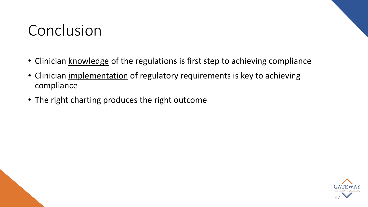# Conclusion

- Clinician knowledge of the regulations is first step to achieving compliance
- Clinician implementation of regulatory requirements is key to achieving compliance
- The right charting produces the right outcome